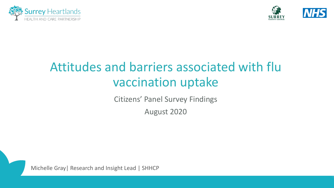



# Attitudes and barriers associated with flu vaccination uptake

Citizens' Panel Survey Findings

August 2020

Michelle Gray| Research and Insight Lead | SHHCP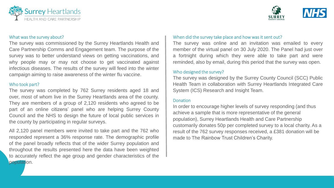



#### What was the survey about?

The survey was commissioned by the Surrey Heartlands Health and Care Partnership Comms and Engagement team. The purpose of the survey was to better understand views on getting vaccinations, and why people may or may not choose to get vaccinated against infectious diseases. The results of the survey will feed into the winter campaign aiming to raise awareness of the winter flu vaccine.

#### Who took part?

The survey was completed by 762 Surrey residents aged 18 and over, most of whom live in the Surrey Heartlands area of the county. They are members of a group of 2,120 residents who agreed to be part of an online citizens' panel who are helping Surrey County Council and the NHS to design the future of local public services in the county by participating in regular surveys.

All 2,120 panel members were invited to take part and the 762 who responded represent a 36% response rate. The demographic profile of the panel broadly reflects that of the wider Surrey population and throughout the results presented here the data have been weighted to accurately reflect the age group and gender characteristics of the population.

#### When did the survey take place and how was it sent out?

The survey was online and an invitation was emailed to every member of the virtual panel on 30 July 2020. The Panel had just over a fortnight during which they were able to take part and were reminded, also by email, during this period that the survey was open.

#### Who designed the survey?

The survey was designed by the Surrey County Council (SCC) Public Health Team in collaboration with Surrey Heartlands Integrated Care System (ICS) Research and Insight Team.

#### **Donation**

In order to encourage higher levels of survey responding (and thus achieve a sample that is more representative of the general population), Surrey Heartlands Health and Care Partnership customarily donates 50p per completed survey to a local charity. As a result of the 762 survey responses received, a £381 donation will be made to The Rainbow Trust Children's Charity.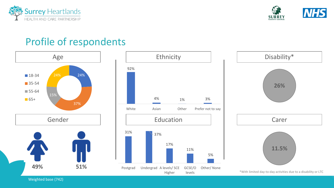



## Profile of respondents



Weighted base (742)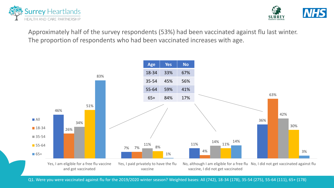



Approximately half of the survey respondents (53%) had been vaccinated against flu last winter. The proportion of respondents who had been vaccinated increases with age.



Q1. Were you were vaccinated against flu for the 2019/2020 winter season? Weighted bases: All (742), 18-34 (178), 35-54 (275), 55-64 (111), 65+ (178)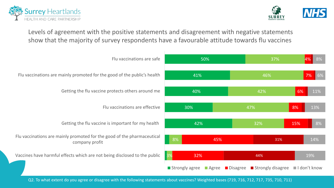



### Levels of agreement with the positive statements and disagreement with negative statements show that the majority of survey respondents have a favourable attitude towards flu vaccines



Q2. To what extent do you agree or disagree with the following statements about vaccines? Weighted bases (719, 716, 712, 717, 735, 710, 711)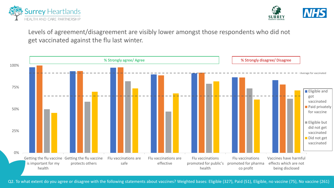



Levels of agreement/disagreement are visibly lower amongst those respondents who did not get vaccinated against the flu last winter.



Q2. To what extent do you agree or disagree with the following statements about vaccines? Weighted bases: Eligible (327), Paid (51), Eligible, no vaccine (75), No vaccine (261)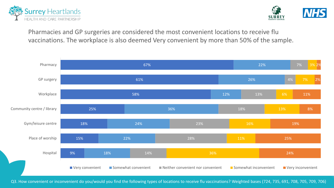



Pharmacies and GP surgeries are considered the most convenient locations to receive flu vaccinations. The workplace is also deemed Very convenient by more than 50% of the sample.



Q3. How convenient or inconvenient do you/would you find the following types of locations to receive flu vaccinations? Weighted bases (724, 735, 691, 708, 705, 709, 706)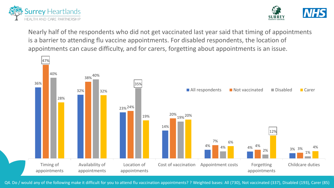



Nearly half of the respondents who did not get vaccinated last year said that timing of appointments is a barrier to attending flu vaccine appointments. For disabled respondents, the location of appointments can cause difficulty, and for carers, forgetting about appointments is an issue.



Q4. Do / would any of the following make it difficult for you to attend flu vaccination appointments? ? Weighted bases: All (730), Not vaccinated (337), Disabled (193), Carer (85)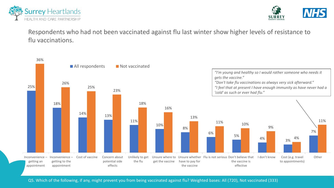



Respondents who had not been vaccinated against flu last winter show higher levels of resistance to flu vaccinations.



Q5. Which of the following, if any, might prevent you from being vaccinated against flu? Weighted bases: All (720), Not vaccinated (333)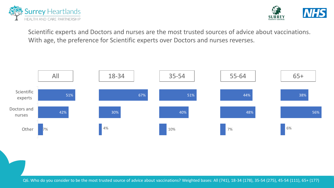



Scientific experts and Doctors and nurses are the most trusted sources of advice about vaccinations. With age, the preference for Scientific experts over Doctors and nurses reverses.



Q6. Who do you consider to be the most trusted source of advice about vaccinations? Weighted bases: All (741), 18-34 (178), 35-54 (275), 45-54 (111), 65+ (177)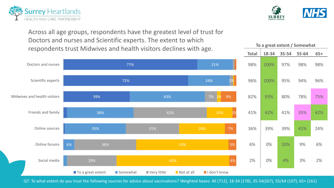



**To a great extent / Somewhat**

Across all age groups, respondents have the greatest level of trust for Doctors and nurses and Scientific experts. The extent to which respondents trust Midwives and health visitors declines with age.



Q7. To what extent do you trust the following sources for advice about vaccinations? Weighted bases: All (712), 18-34 (178), 35-54(267), 55/64 (107), 65+ (161)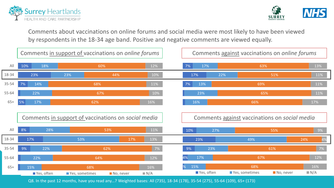



Comments about vaccinations on online forums and social media were most likely to have been viewed by respondents in the 18-34 age band. Positive and negative comments are viewed equally.



Q8. In the past 12 months, have you read any…? Weighted bases: All (735), 18-34 (178), 35-54 (275), 55-64 (109), 65+ (173)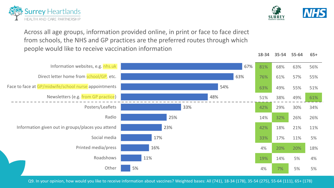



Across all age groups, information provided online, in print or face to face direct from schools, the NHS and GP practices are the preferred routes through which people would like to receive vaccination information



Q9. In your opinion, how would you like to receive information about vaccines? Weighted bases: All (741), 18-34 (178), 35-54 (275), 55-64 (111), 65+ (178)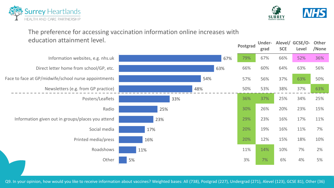



### The preference for accessing vaccination information online increases with education attainment level.



Q9. In your opinion, how would you like to receive information about vaccines? Weighted bases: All (738), Postgrad (227), Undergrad (271), Alevel (123), GCSE 81), Other (36)